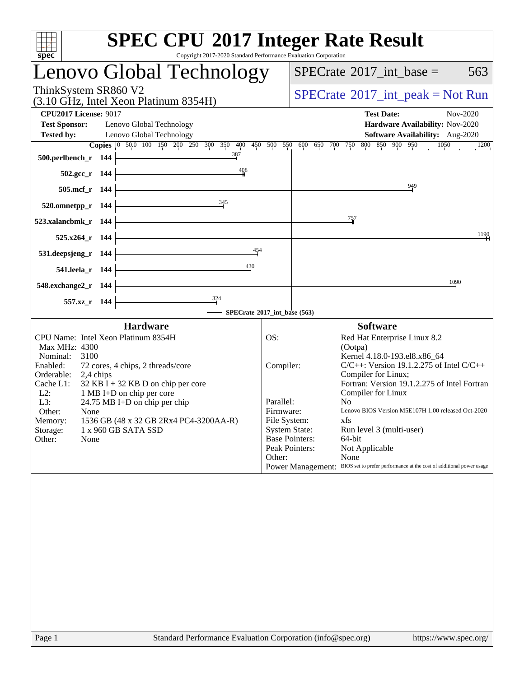| <b>SPEC CPU®2017 Integer Rate Result</b><br>spec <sup>®</sup><br>Copyright 2017-2020 Standard Performance Evaluation Corporation                                                                                                                                                                                                                                                                                     |                                                                                                                                         |                                                                                                                                                                                                                                                                                                                                                                                                                                                                |
|----------------------------------------------------------------------------------------------------------------------------------------------------------------------------------------------------------------------------------------------------------------------------------------------------------------------------------------------------------------------------------------------------------------------|-----------------------------------------------------------------------------------------------------------------------------------------|----------------------------------------------------------------------------------------------------------------------------------------------------------------------------------------------------------------------------------------------------------------------------------------------------------------------------------------------------------------------------------------------------------------------------------------------------------------|
| Lenovo Global Technology                                                                                                                                                                                                                                                                                                                                                                                             |                                                                                                                                         | $SPECTate$ <sup>®</sup> 2017_int_base =<br>563                                                                                                                                                                                                                                                                                                                                                                                                                 |
| ThinkSystem SR860 V2<br>(3.10 GHz, Intel Xeon Platinum 8354H)                                                                                                                                                                                                                                                                                                                                                        |                                                                                                                                         | $SPECrate^{\circledast}2017\_int\_peak = Not Run$                                                                                                                                                                                                                                                                                                                                                                                                              |
| <b>CPU2017 License: 9017</b><br><b>Test Sponsor:</b><br>Lenovo Global Technology<br><b>Tested by:</b><br>Lenovo Global Technology                                                                                                                                                                                                                                                                                    |                                                                                                                                         | <b>Test Date:</b><br>Nov-2020<br>Hardware Availability: Nov-2020<br>Software Availability: Aug-2020                                                                                                                                                                                                                                                                                                                                                            |
| Copies 0 50.0 100 150 200 250 300 350 400 450 500 550 600 650 700 750 800 850 900 950<br>387<br>500.perlbench_r 144                                                                                                                                                                                                                                                                                                  |                                                                                                                                         | 1050<br>1200                                                                                                                                                                                                                                                                                                                                                                                                                                                   |
| $\frac{408}{4}$<br>502.gcc_r 144                                                                                                                                                                                                                                                                                                                                                                                     |                                                                                                                                         | 949                                                                                                                                                                                                                                                                                                                                                                                                                                                            |
| 505.mcf_r 144<br>345<br>520.omnetpp_r 144                                                                                                                                                                                                                                                                                                                                                                            |                                                                                                                                         |                                                                                                                                                                                                                                                                                                                                                                                                                                                                |
| 523.xalancbmk_r 144                                                                                                                                                                                                                                                                                                                                                                                                  |                                                                                                                                         | $\frac{757}{4}$                                                                                                                                                                                                                                                                                                                                                                                                                                                |
| 525.x264_r 144<br>454                                                                                                                                                                                                                                                                                                                                                                                                |                                                                                                                                         | 1190                                                                                                                                                                                                                                                                                                                                                                                                                                                           |
| 531.deepsjeng_r 144<br>430<br>541.leela_r 144                                                                                                                                                                                                                                                                                                                                                                        |                                                                                                                                         |                                                                                                                                                                                                                                                                                                                                                                                                                                                                |
| 548.exchange2_r 144                                                                                                                                                                                                                                                                                                                                                                                                  |                                                                                                                                         | 1090                                                                                                                                                                                                                                                                                                                                                                                                                                                           |
| $\frac{324}{-}$<br>557.xz_r 144<br>SPECrate®2017_int_base (563)                                                                                                                                                                                                                                                                                                                                                      |                                                                                                                                         |                                                                                                                                                                                                                                                                                                                                                                                                                                                                |
| <b>Hardware</b>                                                                                                                                                                                                                                                                                                                                                                                                      |                                                                                                                                         | <b>Software</b>                                                                                                                                                                                                                                                                                                                                                                                                                                                |
| CPU Name: Intel Xeon Platinum 8354H<br>Max MHz: 4300<br>3100<br>Nominal:<br>Enabled:<br>72 cores, 4 chips, 2 threads/core<br>Orderable:<br>2,4 chips<br>$32$ KB I + 32 KB D on chip per core<br>Cache L1:<br>1 MB I+D on chip per core<br>$L2$ :<br>L3:<br>24.75 MB I+D on chip per chip<br>Other:<br>None<br>Memory:<br>1536 GB (48 x 32 GB 2Rx4 PC4-3200AA-R)<br>1 x 960 GB SATA SSD<br>Storage:<br>Other:<br>None | OS:<br>Compiler:<br>Parallel:<br>Firmware:<br>File System:<br><b>System State:</b><br><b>Base Pointers:</b><br>Peak Pointers:<br>Other: | Red Hat Enterprise Linux 8.2<br>(Ootpa)<br>Kernel 4.18.0-193.el8.x86_64<br>$C/C++$ : Version 19.1.2.275 of Intel $C/C++$<br>Compiler for Linux;<br>Fortran: Version 19.1.2.275 of Intel Fortran<br>Compiler for Linux<br>N <sub>0</sub><br>Lenovo BIOS Version M5E107H 1.00 released Oct-2020<br>xfs<br>Run level 3 (multi-user)<br>64-bit<br>Not Applicable<br>None<br>Power Management: BIOS set to prefer performance at the cost of additional power usage |
|                                                                                                                                                                                                                                                                                                                                                                                                                      |                                                                                                                                         |                                                                                                                                                                                                                                                                                                                                                                                                                                                                |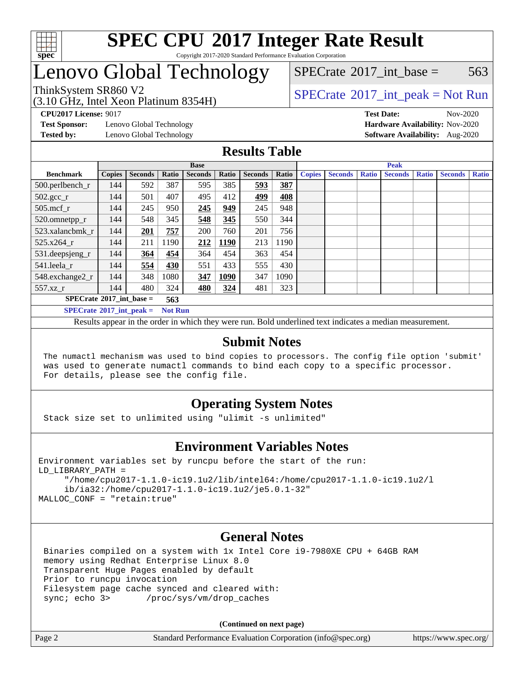

## Lenovo Global Technology

[SPECrate](http://www.spec.org/auto/cpu2017/Docs/result-fields.html#SPECrate2017intbase)<sup>®</sup>2017 int base = 563

#### (3.10 GHz, Intel Xeon Platinum 8354H) ThinkSystem SR860 V2<br>  $\begin{array}{c} \text{SPECrate} \textcirc 2017\_int\_peak = Not Run \end{array}$  $\begin{array}{c} \text{SPECrate} \textcirc 2017\_int\_peak = Not Run \end{array}$  $\begin{array}{c} \text{SPECrate} \textcirc 2017\_int\_peak = Not Run \end{array}$

**[Test Sponsor:](http://www.spec.org/auto/cpu2017/Docs/result-fields.html#TestSponsor)** Lenovo Global Technology **[Hardware Availability:](http://www.spec.org/auto/cpu2017/Docs/result-fields.html#HardwareAvailability)** Nov-2020 **[Tested by:](http://www.spec.org/auto/cpu2017/Docs/result-fields.html#Testedby)** Lenovo Global Technology **[Software Availability:](http://www.spec.org/auto/cpu2017/Docs/result-fields.html#SoftwareAvailability)** Aug-2020

**[CPU2017 License:](http://www.spec.org/auto/cpu2017/Docs/result-fields.html#CPU2017License)** 9017 **[Test Date:](http://www.spec.org/auto/cpu2017/Docs/result-fields.html#TestDate)** Nov-2020

### **[Results Table](http://www.spec.org/auto/cpu2017/Docs/result-fields.html#ResultsTable)**

|                                                     | <b>Base</b>   |                |              |                |       | <b>Peak</b>    |       |               |                |              |                |              |                |              |
|-----------------------------------------------------|---------------|----------------|--------------|----------------|-------|----------------|-------|---------------|----------------|--------------|----------------|--------------|----------------|--------------|
| <b>Benchmark</b>                                    | <b>Copies</b> | <b>Seconds</b> | <b>Ratio</b> | <b>Seconds</b> | Ratio | <b>Seconds</b> | Ratio | <b>Copies</b> | <b>Seconds</b> | <b>Ratio</b> | <b>Seconds</b> | <b>Ratio</b> | <b>Seconds</b> | <b>Ratio</b> |
| 500.perlbench_r                                     | 144           | 592            | 387          | 595            | 385   | 593            | 387   |               |                |              |                |              |                |              |
| $502.\text{sec}$ <sub>r</sub>                       | 144           | 501            | 407          | 495            | 412   | 499            | 408   |               |                |              |                |              |                |              |
| $505$ .mcf r                                        | 144           | 245            | 950          | 245            | 949   | 245            | 948   |               |                |              |                |              |                |              |
| 520.omnetpp_r                                       | 144           | 548            | 345          | 548            | 345   | 550            | 344   |               |                |              |                |              |                |              |
| 523.xalancbmk r                                     | 144           | 201            | 757          | 200            | 760   | 201            | 756   |               |                |              |                |              |                |              |
| 525.x264 r                                          | 144           | 211            | 1190         | 212            | 1190  | 213            | 1190  |               |                |              |                |              |                |              |
| 531.deepsjeng_r                                     | 144           | 364            | 454          | 364            | 454   | 363            | 454   |               |                |              |                |              |                |              |
| 541.leela_r                                         | 144           | 554            | 430          | 551            | 433   | 555            | 430   |               |                |              |                |              |                |              |
| 548.exchange2_r                                     | 144           | 348            | 1080         | 347            | 1090  | 347            | 1090  |               |                |              |                |              |                |              |
| 557.xz r                                            | 144           | 480            | 324          | 480            | 324   | 481            | 323   |               |                |              |                |              |                |              |
| $SPECrate^{\circledcirc}2017$ int base =<br>563     |               |                |              |                |       |                |       |               |                |              |                |              |                |              |
| $SPECrate^{\circ}2017$ int peak =<br><b>Not Run</b> |               |                |              |                |       |                |       |               |                |              |                |              |                |              |

Results appear in the [order in which they were run](http://www.spec.org/auto/cpu2017/Docs/result-fields.html#RunOrder). Bold underlined text [indicates a median measurement](http://www.spec.org/auto/cpu2017/Docs/result-fields.html#Median).

### **[Submit Notes](http://www.spec.org/auto/cpu2017/Docs/result-fields.html#SubmitNotes)**

 The numactl mechanism was used to bind copies to processors. The config file option 'submit' was used to generate numactl commands to bind each copy to a specific processor. For details, please see the config file.

### **[Operating System Notes](http://www.spec.org/auto/cpu2017/Docs/result-fields.html#OperatingSystemNotes)**

Stack size set to unlimited using "ulimit -s unlimited"

### **[Environment Variables Notes](http://www.spec.org/auto/cpu2017/Docs/result-fields.html#EnvironmentVariablesNotes)**

```
Environment variables set by runcpu before the start of the run:
LD_LIBRARY_PATH =
      "/home/cpu2017-1.1.0-ic19.1u2/lib/intel64:/home/cpu2017-1.1.0-ic19.1u2/l
      ib/ia32:/home/cpu2017-1.1.0-ic19.1u2/je5.0.1-32"
MALLOC_CONF = "retain:true"
```
### **[General Notes](http://www.spec.org/auto/cpu2017/Docs/result-fields.html#GeneralNotes)**

 Binaries compiled on a system with 1x Intel Core i9-7980XE CPU + 64GB RAM memory using Redhat Enterprise Linux 8.0 Transparent Huge Pages enabled by default Prior to runcpu invocation Filesystem page cache synced and cleared with: sync; echo 3> /proc/sys/vm/drop\_caches

**(Continued on next page)**

| Page 2<br>Standard Performance Evaluation Corporation (info@spec.org) | https://www.spec.org/ |
|-----------------------------------------------------------------------|-----------------------|
|-----------------------------------------------------------------------|-----------------------|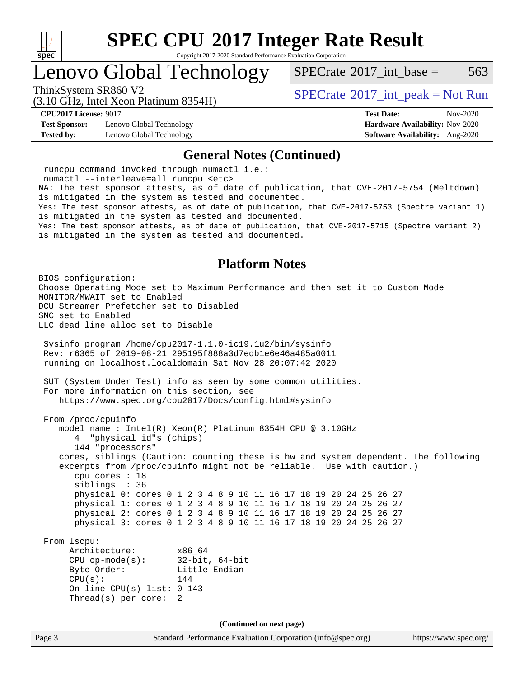

Copyright 2017-2020 Standard Performance Evaluation Corporation

### Lenovo Global Technology

[SPECrate](http://www.spec.org/auto/cpu2017/Docs/result-fields.html#SPECrate2017intbase)<sup>®</sup>2017 int base = 563

(3.10 GHz, Intel Xeon Platinum 8354H)

ThinkSystem SR860 V2<br>  $\begin{array}{c} \text{SPECrate} \textcirc 2017\_int\_peak = Not Run \end{array}$  $\begin{array}{c} \text{SPECrate} \textcirc 2017\_int\_peak = Not Run \end{array}$  $\begin{array}{c} \text{SPECrate} \textcirc 2017\_int\_peak = Not Run \end{array}$ 

**[Test Sponsor:](http://www.spec.org/auto/cpu2017/Docs/result-fields.html#TestSponsor)** Lenovo Global Technology **[Hardware Availability:](http://www.spec.org/auto/cpu2017/Docs/result-fields.html#HardwareAvailability)** Nov-2020 **[Tested by:](http://www.spec.org/auto/cpu2017/Docs/result-fields.html#Testedby)** Lenovo Global Technology **[Software Availability:](http://www.spec.org/auto/cpu2017/Docs/result-fields.html#SoftwareAvailability)** Aug-2020

**[CPU2017 License:](http://www.spec.org/auto/cpu2017/Docs/result-fields.html#CPU2017License)** 9017 **[Test Date:](http://www.spec.org/auto/cpu2017/Docs/result-fields.html#TestDate)** Nov-2020

#### **[General Notes \(Continued\)](http://www.spec.org/auto/cpu2017/Docs/result-fields.html#GeneralNotes)**

Page 3 Standard Performance Evaluation Corporation [\(info@spec.org\)](mailto:info@spec.org) <https://www.spec.org/> runcpu command invoked through numactl i.e.: numactl --interleave=all runcpu <etc> NA: The test sponsor attests, as of date of publication, that CVE-2017-5754 (Meltdown) is mitigated in the system as tested and documented. Yes: The test sponsor attests, as of date of publication, that CVE-2017-5753 (Spectre variant 1) is mitigated in the system as tested and documented. Yes: The test sponsor attests, as of date of publication, that CVE-2017-5715 (Spectre variant 2) is mitigated in the system as tested and documented. **[Platform Notes](http://www.spec.org/auto/cpu2017/Docs/result-fields.html#PlatformNotes)** BIOS configuration: Choose Operating Mode set to Maximum Performance and then set it to Custom Mode MONITOR/MWAIT set to Enabled DCU Streamer Prefetcher set to Disabled SNC set to Enabled LLC dead line alloc set to Disable Sysinfo program /home/cpu2017-1.1.0-ic19.1u2/bin/sysinfo Rev: r6365 of 2019-08-21 295195f888a3d7edb1e6e46a485a0011 running on localhost.localdomain Sat Nov 28 20:07:42 2020 SUT (System Under Test) info as seen by some common utilities. For more information on this section, see <https://www.spec.org/cpu2017/Docs/config.html#sysinfo> From /proc/cpuinfo model name : Intel(R) Xeon(R) Platinum 8354H CPU @ 3.10GHz 4 "physical id"s (chips) 144 "processors" cores, siblings (Caution: counting these is hw and system dependent. The following excerpts from /proc/cpuinfo might not be reliable. Use with caution.) cpu cores : 18 siblings : 36 physical 0: cores 0 1 2 3 4 8 9 10 11 16 17 18 19 20 24 25 26 27 physical 1: cores 0 1 2 3 4 8 9 10 11 16 17 18 19 20 24 25 26 27 physical 2: cores 0 1 2 3 4 8 9 10 11 16 17 18 19 20 24 25 26 27 physical 3: cores 0 1 2 3 4 8 9 10 11 16 17 18 19 20 24 25 26 27 From lscpu: Architecture: x86\_64 CPU op-mode(s): 32-bit, 64-bit Byte Order: Little Endian  $CPU(s):$  144 On-line CPU(s) list: 0-143 Thread(s) per core: 2 **(Continued on next page)**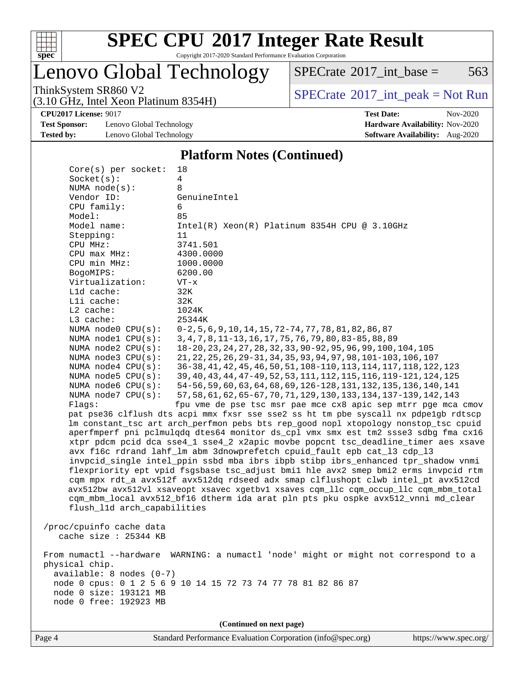

Copyright 2017-2020 Standard Performance Evaluation Corporation

### Lenovo Global Technology

 $SPECTate@2017_int\_base = 563$ 

(3.10 GHz, Intel Xeon Platinum 8354H)

ThinkSystem SR860 V2<br>  $(3.10 \text{ GHz} \text{ Intel } \text{Yoon}$  Blatinum 8354H) [SPECrate](http://www.spec.org/auto/cpu2017/Docs/result-fields.html#SPECrate2017intpeak)®[2017\\_int\\_peak = N](http://www.spec.org/auto/cpu2017/Docs/result-fields.html#SPECrate2017intpeak)ot Run

**[CPU2017 License:](http://www.spec.org/auto/cpu2017/Docs/result-fields.html#CPU2017License)** 9017 **[Test Date:](http://www.spec.org/auto/cpu2017/Docs/result-fields.html#TestDate)** Nov-2020

**[Test Sponsor:](http://www.spec.org/auto/cpu2017/Docs/result-fields.html#TestSponsor)** Lenovo Global Technology **[Hardware Availability:](http://www.spec.org/auto/cpu2017/Docs/result-fields.html#HardwareAvailability)** Nov-2020 **[Tested by:](http://www.spec.org/auto/cpu2017/Docs/result-fields.html#Testedby)** Lenovo Global Technology **[Software Availability:](http://www.spec.org/auto/cpu2017/Docs/result-fields.html#SoftwareAvailability)** Aug-2020

### **[Platform Notes \(Continued\)](http://www.spec.org/auto/cpu2017/Docs/result-fields.html#PlatformNotes)**

| $Core(s)$ per socket:                        | 18                                                                                   |
|----------------------------------------------|--------------------------------------------------------------------------------------|
| Socket(s):                                   | 4                                                                                    |
| NUMA $node(s)$ :                             | 8                                                                                    |
| Vendor ID:                                   | GenuineIntel                                                                         |
| CPU family:                                  | 6                                                                                    |
| Model:                                       | 85                                                                                   |
| Model name:                                  | $Intel(R) Xeon(R) Platinum 8354H CPU @ 3.10GHz$                                      |
| Stepping:                                    | 11                                                                                   |
| CPU MHz:                                     | 3741.501                                                                             |
| CPU max MHz:                                 | 4300.0000                                                                            |
| CPU min MHz:                                 | 1000.0000                                                                            |
| BogoMIPS:                                    | 6200.00                                                                              |
| Virtualization:                              | $VT - x$                                                                             |
| L1d cache:                                   | 32K                                                                                  |
| Lli cache:                                   | 32K                                                                                  |
| $L2$ cache:                                  | 1024K                                                                                |
| L3 cache:                                    | 25344K                                                                               |
| NUMA node0 CPU(s):                           | $0-2, 5, 6, 9, 10, 14, 15, 72-74, 77, 78, 81, 82, 86, 87$                            |
| NUMA nodel CPU(s):                           | 3, 4, 7, 8, 11-13, 16, 17, 75, 76, 79, 80, 83-85, 88, 89                             |
| NUMA node2 CPU(s):                           | 18-20, 23, 24, 27, 28, 32, 33, 90-92, 95, 96, 99, 100, 104, 105                      |
| NUMA node3 CPU(s):                           | 21, 22, 25, 26, 29-31, 34, 35, 93, 94, 97, 98, 101-103, 106, 107                     |
| NUMA $node4$ $CPU(s):$                       | 36-38, 41, 42, 45, 46, 50, 51, 108-110, 113, 114, 117, 118, 122, 123                 |
| NUMA node5 $CPU(s):$                         | 39, 40, 43, 44, 47-49, 52, 53, 111, 112, 115, 116, 119-121, 124, 125                 |
| NUMA node6 CPU(s):                           | 54-56, 59, 60, 63, 64, 68, 69, 126-128, 131, 132, 135, 136, 140, 141                 |
| NUMA node7 CPU(s):                           | 57, 58, 61, 62, 65-67, 70, 71, 129, 130, 133, 134, 137-139, 142, 143                 |
| Flaqs:                                       | fpu vme de pse tsc msr pae mce cx8 apic sep mtrr pge mca cmov                        |
|                                              | pat pse36 clflush dts acpi mmx fxsr sse sse2 ss ht tm pbe syscall nx pdpelgb rdtscp  |
|                                              | lm constant_tsc art arch_perfmon pebs bts rep_good nopl xtopology nonstop_tsc cpuid  |
|                                              | aperfmperf pni pclmulqdq dtes64 monitor ds_cpl vmx smx est tm2 ssse3 sdbg fma cx16   |
|                                              | xtpr pdcm pcid dca sse4_1 sse4_2 x2apic movbe popcnt tsc_deadline_timer aes xsave    |
|                                              | avx f16c rdrand lahf_lm abm 3dnowprefetch cpuid_fault epb cat_13 cdp_13              |
|                                              | invpcid_single intel_ppin ssbd mba ibrs ibpb stibp ibrs_enhanced tpr_shadow vnmi     |
|                                              | flexpriority ept vpid fsgsbase tsc_adjust bmil hle avx2 smep bmi2 erms invpcid rtm   |
|                                              | cqm mpx rdt_a avx512f avx512dq rdseed adx smap clflushopt clwb intel_pt avx512cd     |
|                                              | avx512bw avx512vl xsaveopt xsavec xgetbvl xsaves cqm_llc cqm_occup_llc cqm_mbm_total |
|                                              | cqm_mbm_local avx512_bf16 dtherm ida arat pln pts pku ospke avx512_vnni md_clear     |
| flush_l1d arch_capabilities                  |                                                                                      |
|                                              |                                                                                      |
| /proc/cpuinfo cache data                     |                                                                                      |
| cache size $: 25344$ KB                      |                                                                                      |
|                                              | From numactl --hardware WARNING: a numactl 'node' might or might not correspond to a |
|                                              |                                                                                      |
| physical chip.<br>$available: 8 nodes (0-7)$ |                                                                                      |
|                                              | node 0 cpus: 0 1 2 5 6 9 10 14 15 72 73 74 77 78 81 82 86 87                         |
| node 0 size: 193121 MB                       |                                                                                      |
| node 0 free: 192923 MB                       |                                                                                      |
|                                              |                                                                                      |
|                                              |                                                                                      |
|                                              | (Continued on next page)                                                             |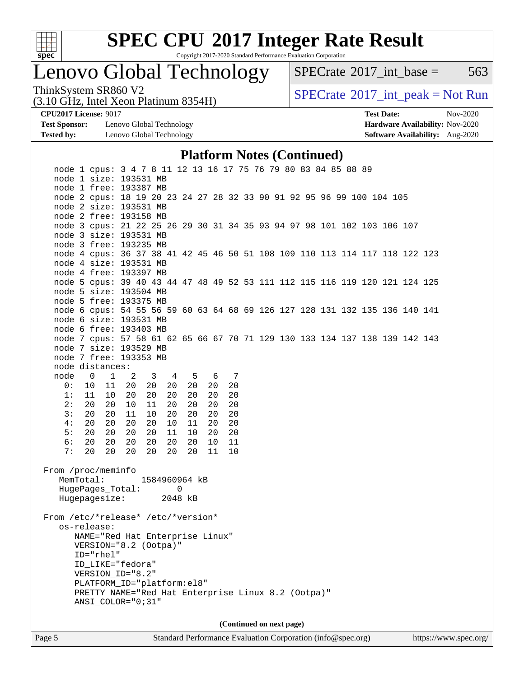

Copyright 2017-2020 Standard Performance Evaluation Corporation

### Lenovo Global Technology

 $SPECTate@2017\_int\_base = 563$ 

(3.10 GHz, Intel Xeon Platinum 8354H)

ThinkSystem SR860 V2<br>  $\begin{array}{c} \text{SPECrate} \textcirc 2017\_int\_peak = Not Run \end{array}$  $\begin{array}{c} \text{SPECrate} \textcirc 2017\_int\_peak = Not Run \end{array}$  $\begin{array}{c} \text{SPECrate} \textcirc 2017\_int\_peak = Not Run \end{array}$ 

**[Test Sponsor:](http://www.spec.org/auto/cpu2017/Docs/result-fields.html#TestSponsor)** Lenovo Global Technology **[Hardware Availability:](http://www.spec.org/auto/cpu2017/Docs/result-fields.html#HardwareAvailability)** Nov-2020 **[Tested by:](http://www.spec.org/auto/cpu2017/Docs/result-fields.html#Testedby)** Lenovo Global Technology **[Software Availability:](http://www.spec.org/auto/cpu2017/Docs/result-fields.html#SoftwareAvailability)** Aug-2020

**[CPU2017 License:](http://www.spec.org/auto/cpu2017/Docs/result-fields.html#CPU2017License)** 9017 **[Test Date:](http://www.spec.org/auto/cpu2017/Docs/result-fields.html#TestDate)** Nov-2020

#### **[Platform Notes \(Continued\)](http://www.spec.org/auto/cpu2017/Docs/result-fields.html#PlatformNotes)**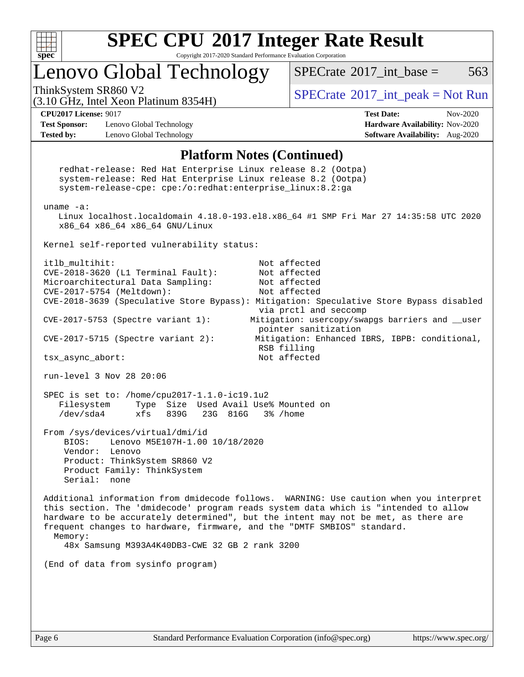

Copyright 2017-2020 Standard Performance Evaluation Corporation

### Lenovo Global Technology

[SPECrate](http://www.spec.org/auto/cpu2017/Docs/result-fields.html#SPECrate2017intbase)<sup>®</sup>2017 int base =  $563$ 

(3.10 GHz, Intel Xeon Platinum 8354H)

ThinkSystem SR860 V2  $\begin{array}{c} \text{SPECrate} \textcirc 2017\_int\_peak = Not Run \end{array}$  $\begin{array}{c} \text{SPECrate} \textcirc 2017\_int\_peak = Not Run \end{array}$  $\begin{array}{c} \text{SPECrate} \textcirc 2017\_int\_peak = Not Run \end{array}$ 

**[Test Sponsor:](http://www.spec.org/auto/cpu2017/Docs/result-fields.html#TestSponsor)** Lenovo Global Technology **[Hardware Availability:](http://www.spec.org/auto/cpu2017/Docs/result-fields.html#HardwareAvailability)** Nov-2020 **[Tested by:](http://www.spec.org/auto/cpu2017/Docs/result-fields.html#Testedby)** Lenovo Global Technology **[Software Availability:](http://www.spec.org/auto/cpu2017/Docs/result-fields.html#SoftwareAvailability)** Aug-2020

**[CPU2017 License:](http://www.spec.org/auto/cpu2017/Docs/result-fields.html#CPU2017License)** 9017 **[Test Date:](http://www.spec.org/auto/cpu2017/Docs/result-fields.html#TestDate)** Nov-2020

#### **[Platform Notes \(Continued\)](http://www.spec.org/auto/cpu2017/Docs/result-fields.html#PlatformNotes)**

 redhat-release: Red Hat Enterprise Linux release 8.2 (Ootpa) system-release: Red Hat Enterprise Linux release 8.2 (Ootpa) system-release-cpe: cpe:/o:redhat:enterprise\_linux:8.2:ga uname -a: Linux localhost.localdomain 4.18.0-193.el8.x86\_64 #1 SMP Fri Mar 27 14:35:58 UTC 2020 x86\_64 x86\_64 x86\_64 GNU/Linux Kernel self-reported vulnerability status: itlb\_multihit: Not affected CVE-2018-3620 (L1 Terminal Fault): Not affected Microarchitectural Data Sampling: Not affected CVE-2017-5754 (Meltdown): Not affected CVE-2018-3639 (Speculative Store Bypass): Mitigation: Speculative Store Bypass disabled via prctl and seccomp CVE-2017-5753 (Spectre variant 1): Mitigation: usercopy/swapgs barriers and \_\_user pointer sanitization CVE-2017-5715 (Spectre variant 2): Mitigation: Enhanced IBRS, IBPB: conditional, RSB filling tsx\_async\_abort: Not affected run-level 3 Nov 28 20:06 SPEC is set to: /home/cpu2017-1.1.0-ic19.1u2 Filesystem Type Size Used Avail Use% Mounted on /dev/sda4 xfs 839G 23G 816G 3% /home From /sys/devices/virtual/dmi/id BIOS: Lenovo M5E107H-1.00 10/18/2020 Vendor: Lenovo Product: ThinkSystem SR860 V2 Product Family: ThinkSystem Serial: none Additional information from dmidecode follows. WARNING: Use caution when you interpret this section. The 'dmidecode' program reads system data which is "intended to allow hardware to be accurately determined", but the intent may not be met, as there are frequent changes to hardware, firmware, and the "DMTF SMBIOS" standard. Memory: 48x Samsung M393A4K40DB3-CWE 32 GB 2 rank 3200 (End of data from sysinfo program)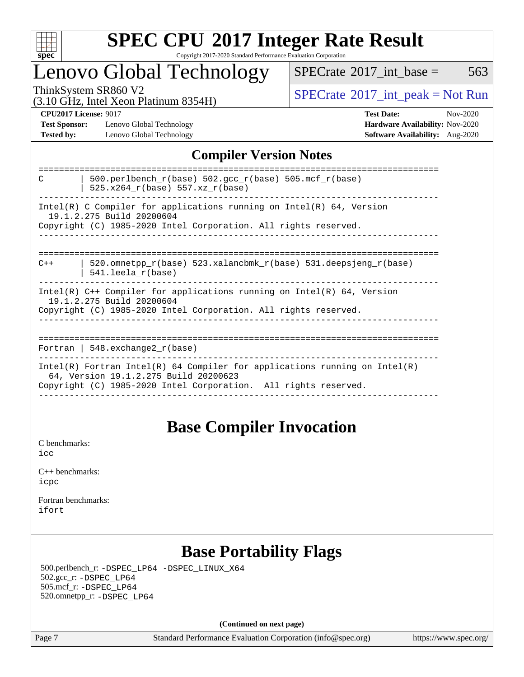

### Lenovo Global Technology

 $SPECTate$ <sup>®</sup>[2017\\_int\\_base =](http://www.spec.org/auto/cpu2017/Docs/result-fields.html#SPECrate2017intbase) 563

(3.10 GHz, Intel Xeon Platinum 8354H)

ThinkSystem SR860 V2<br>  $\begin{array}{c}\n\text{SPECrate} \textcirc 2017\_int\_peak = Not Run \\
\text{SPECrate} \textcirc 2017\_int\_peak = Not Run\n\end{array}$  $\begin{array}{c}\n\text{SPECrate} \textcirc 2017\_int\_peak = Not Run \\
\text{SPECrate} \textcirc 2017\_int\_peak = Not Run\n\end{array}$  $\begin{array}{c}\n\text{SPECrate} \textcirc 2017\_int\_peak = Not Run \\
\text{SPECrate} \textcirc 2017\_int\_peak = Not Run\n\end{array}$ 

**[Test Sponsor:](http://www.spec.org/auto/cpu2017/Docs/result-fields.html#TestSponsor)** Lenovo Global Technology **[Hardware Availability:](http://www.spec.org/auto/cpu2017/Docs/result-fields.html#HardwareAvailability)** Nov-2020 **[Tested by:](http://www.spec.org/auto/cpu2017/Docs/result-fields.html#Testedby)** Lenovo Global Technology **[Software Availability:](http://www.spec.org/auto/cpu2017/Docs/result-fields.html#SoftwareAvailability)** Aug-2020

**[CPU2017 License:](http://www.spec.org/auto/cpu2017/Docs/result-fields.html#CPU2017License)** 9017 **[Test Date:](http://www.spec.org/auto/cpu2017/Docs/result-fields.html#TestDate)** Nov-2020

### **[Compiler Version Notes](http://www.spec.org/auto/cpu2017/Docs/result-fields.html#CompilerVersionNotes)**

| 500.perlbench $r(base)$ 502.qcc $r(base)$ 505.mcf $r(base)$<br>C<br>525.x264 r(base) 557.xz r(base)                                                                                    |
|----------------------------------------------------------------------------------------------------------------------------------------------------------------------------------------|
| Intel(R) C Compiler for applications running on Intel(R) $64$ , Version<br>19.1.2.275 Build 20200604<br>Copyright (C) 1985-2020 Intel Corporation. All rights reserved.                |
| 520.omnetpp $r(base)$ 523.xalancbmk $r(base)$ 531.deepsjeng $r(base)$<br>$C++$<br>$541.$ leela r(base)                                                                                 |
| $Intel(R)$ C++ Compiler for applications running on $Intel(R)$ 64, Version<br>19.1.2.275 Build 20200604<br>Copyright (C) 1985-2020 Intel Corporation. All rights reserved.             |
| Fortran   548.exchange2 $r(base)$                                                                                                                                                      |
| Intel(R) Fortran Intel(R) 64 Compiler for applications running on Intel(R)<br>64, Version 19.1.2.275 Build 20200623<br>Copyright (C) 1985-2020 Intel Corporation. All rights reserved. |

### **[Base Compiler Invocation](http://www.spec.org/auto/cpu2017/Docs/result-fields.html#BaseCompilerInvocation)**

[C benchmarks](http://www.spec.org/auto/cpu2017/Docs/result-fields.html#Cbenchmarks): [icc](http://www.spec.org/cpu2017/results/res2020q4/cpu2017-20201207-24533.flags.html#user_CCbase_intel_icc_66fc1ee009f7361af1fbd72ca7dcefbb700085f36577c54f309893dd4ec40d12360134090235512931783d35fd58c0460139e722d5067c5574d8eaf2b3e37e92)

| $C_{++}$ benchmarks: |  |
|----------------------|--|
| icpc                 |  |

[Fortran benchmarks](http://www.spec.org/auto/cpu2017/Docs/result-fields.html#Fortranbenchmarks): [ifort](http://www.spec.org/cpu2017/results/res2020q4/cpu2017-20201207-24533.flags.html#user_FCbase_intel_ifort_8111460550e3ca792625aed983ce982f94888b8b503583aa7ba2b8303487b4d8a21a13e7191a45c5fd58ff318f48f9492884d4413fa793fd88dd292cad7027ca)

### **[Base Portability Flags](http://www.spec.org/auto/cpu2017/Docs/result-fields.html#BasePortabilityFlags)**

 500.perlbench\_r: [-DSPEC\\_LP64](http://www.spec.org/cpu2017/results/res2020q4/cpu2017-20201207-24533.flags.html#b500.perlbench_r_basePORTABILITY_DSPEC_LP64) [-DSPEC\\_LINUX\\_X64](http://www.spec.org/cpu2017/results/res2020q4/cpu2017-20201207-24533.flags.html#b500.perlbench_r_baseCPORTABILITY_DSPEC_LINUX_X64) 502.gcc\_r: [-DSPEC\\_LP64](http://www.spec.org/cpu2017/results/res2020q4/cpu2017-20201207-24533.flags.html#suite_basePORTABILITY502_gcc_r_DSPEC_LP64) 505.mcf\_r: [-DSPEC\\_LP64](http://www.spec.org/cpu2017/results/res2020q4/cpu2017-20201207-24533.flags.html#suite_basePORTABILITY505_mcf_r_DSPEC_LP64) 520.omnetpp\_r: [-DSPEC\\_LP64](http://www.spec.org/cpu2017/results/res2020q4/cpu2017-20201207-24533.flags.html#suite_basePORTABILITY520_omnetpp_r_DSPEC_LP64)

**(Continued on next page)**

Page 7 Standard Performance Evaluation Corporation [\(info@spec.org\)](mailto:info@spec.org) <https://www.spec.org/>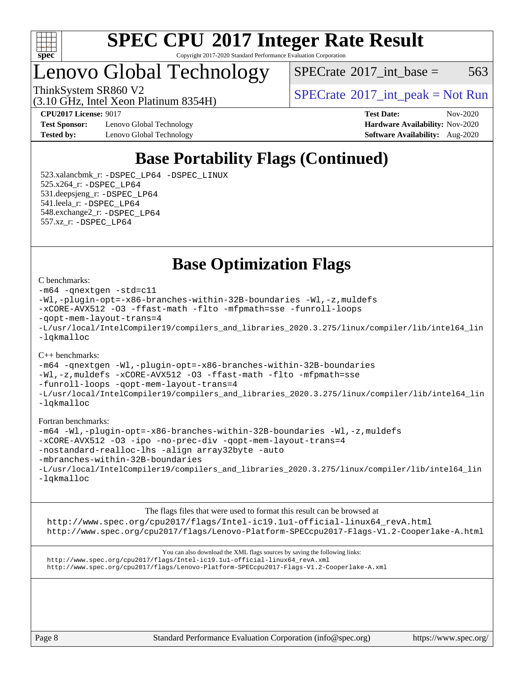

### Lenovo Global Technology

(3.10 GHz, Intel Xeon Platinum 8354H)

 $SPECTate$ <sup>®</sup>[2017\\_int\\_base =](http://www.spec.org/auto/cpu2017/Docs/result-fields.html#SPECrate2017intbase) 563

ThinkSystem SR860 V2  $\begin{array}{c} \text{SPECrate} \textcirc 2017\_int\_peak = Not Run \end{array}$  $\begin{array}{c} \text{SPECrate} \textcirc 2017\_int\_peak = Not Run \end{array}$  $\begin{array}{c} \text{SPECrate} \textcirc 2017\_int\_peak = Not Run \end{array}$ 

**[Test Sponsor:](http://www.spec.org/auto/cpu2017/Docs/result-fields.html#TestSponsor)** Lenovo Global Technology **[Hardware Availability:](http://www.spec.org/auto/cpu2017/Docs/result-fields.html#HardwareAvailability)** Nov-2020 **[Tested by:](http://www.spec.org/auto/cpu2017/Docs/result-fields.html#Testedby)** Lenovo Global Technology **[Software Availability:](http://www.spec.org/auto/cpu2017/Docs/result-fields.html#SoftwareAvailability)** Aug-2020

**[CPU2017 License:](http://www.spec.org/auto/cpu2017/Docs/result-fields.html#CPU2017License)** 9017 **[Test Date:](http://www.spec.org/auto/cpu2017/Docs/result-fields.html#TestDate)** Nov-2020

### **[Base Portability Flags \(Continued\)](http://www.spec.org/auto/cpu2017/Docs/result-fields.html#BasePortabilityFlags)**

 523.xalancbmk\_r: [-DSPEC\\_LP64](http://www.spec.org/cpu2017/results/res2020q4/cpu2017-20201207-24533.flags.html#suite_basePORTABILITY523_xalancbmk_r_DSPEC_LP64) [-DSPEC\\_LINUX](http://www.spec.org/cpu2017/results/res2020q4/cpu2017-20201207-24533.flags.html#b523.xalancbmk_r_baseCXXPORTABILITY_DSPEC_LINUX) 525.x264\_r: [-DSPEC\\_LP64](http://www.spec.org/cpu2017/results/res2020q4/cpu2017-20201207-24533.flags.html#suite_basePORTABILITY525_x264_r_DSPEC_LP64) 531.deepsjeng\_r: [-DSPEC\\_LP64](http://www.spec.org/cpu2017/results/res2020q4/cpu2017-20201207-24533.flags.html#suite_basePORTABILITY531_deepsjeng_r_DSPEC_LP64) 541.leela\_r: [-DSPEC\\_LP64](http://www.spec.org/cpu2017/results/res2020q4/cpu2017-20201207-24533.flags.html#suite_basePORTABILITY541_leela_r_DSPEC_LP64) 548.exchange2\_r: [-DSPEC\\_LP64](http://www.spec.org/cpu2017/results/res2020q4/cpu2017-20201207-24533.flags.html#suite_basePORTABILITY548_exchange2_r_DSPEC_LP64) 557.xz\_r: [-DSPEC\\_LP64](http://www.spec.org/cpu2017/results/res2020q4/cpu2017-20201207-24533.flags.html#suite_basePORTABILITY557_xz_r_DSPEC_LP64)

**[Base Optimization Flags](http://www.spec.org/auto/cpu2017/Docs/result-fields.html#BaseOptimizationFlags)**

#### [C benchmarks](http://www.spec.org/auto/cpu2017/Docs/result-fields.html#Cbenchmarks):

```
-m64 -qnextgen -std=c11
-Wl,-plugin-opt=-x86-branches-within-32B-boundaries -Wl,-z,muldefs
-xCORE-AVX512 -O3 -ffast-math -flto -mfpmath=sse -funroll-loops
-qopt-mem-layout-trans=4
-L/usr/local/IntelCompiler19/compilers_and_libraries_2020.3.275/linux/compiler/lib/intel64_lin
-lqkmalloc
```
#### [C++ benchmarks](http://www.spec.org/auto/cpu2017/Docs/result-fields.html#CXXbenchmarks):

[-m64](http://www.spec.org/cpu2017/results/res2020q4/cpu2017-20201207-24533.flags.html#user_CXXbase_m64-icc) [-qnextgen](http://www.spec.org/cpu2017/results/res2020q4/cpu2017-20201207-24533.flags.html#user_CXXbase_f-qnextgen) [-Wl,-plugin-opt=-x86-branches-within-32B-boundaries](http://www.spec.org/cpu2017/results/res2020q4/cpu2017-20201207-24533.flags.html#user_CXXbase_f-x86-branches-within-32B-boundaries_0098b4e4317ae60947b7b728078a624952a08ac37a3c797dfb4ffeb399e0c61a9dd0f2f44ce917e9361fb9076ccb15e7824594512dd315205382d84209e912f3) [-Wl,-z,muldefs](http://www.spec.org/cpu2017/results/res2020q4/cpu2017-20201207-24533.flags.html#user_CXXbase_link_force_multiple1_b4cbdb97b34bdee9ceefcfe54f4c8ea74255f0b02a4b23e853cdb0e18eb4525ac79b5a88067c842dd0ee6996c24547a27a4b99331201badda8798ef8a743f577) [-xCORE-AVX512](http://www.spec.org/cpu2017/results/res2020q4/cpu2017-20201207-24533.flags.html#user_CXXbase_f-xCORE-AVX512) [-O3](http://www.spec.org/cpu2017/results/res2020q4/cpu2017-20201207-24533.flags.html#user_CXXbase_f-O3) [-ffast-math](http://www.spec.org/cpu2017/results/res2020q4/cpu2017-20201207-24533.flags.html#user_CXXbase_f-ffast-math) [-flto](http://www.spec.org/cpu2017/results/res2020q4/cpu2017-20201207-24533.flags.html#user_CXXbase_f-flto) [-mfpmath=sse](http://www.spec.org/cpu2017/results/res2020q4/cpu2017-20201207-24533.flags.html#user_CXXbase_f-mfpmath_70eb8fac26bde974f8ab713bc9086c5621c0b8d2f6c86f38af0bd7062540daf19db5f3a066d8c6684be05d84c9b6322eb3b5be6619d967835195b93d6c02afa1) [-funroll-loops](http://www.spec.org/cpu2017/results/res2020q4/cpu2017-20201207-24533.flags.html#user_CXXbase_f-funroll-loops) [-qopt-mem-layout-trans=4](http://www.spec.org/cpu2017/results/res2020q4/cpu2017-20201207-24533.flags.html#user_CXXbase_f-qopt-mem-layout-trans_fa39e755916c150a61361b7846f310bcdf6f04e385ef281cadf3647acec3f0ae266d1a1d22d972a7087a248fd4e6ca390a3634700869573d231a252c784941a8) [-L/usr/local/IntelCompiler19/compilers\\_and\\_libraries\\_2020.3.275/linux/compiler/lib/intel64\\_lin](http://www.spec.org/cpu2017/results/res2020q4/cpu2017-20201207-24533.flags.html#user_CXXbase_linkpath_6eb3b1b8be403820338b5b82e7a1c217a861a8962ac718a6253be1483b50620487664a39a847caf560d84a6b8bab7cca33d9f414525a12ede1e9473db34a3d08) [-lqkmalloc](http://www.spec.org/cpu2017/results/res2020q4/cpu2017-20201207-24533.flags.html#user_CXXbase_qkmalloc_link_lib_79a818439969f771c6bc311cfd333c00fc099dad35c030f5aab9dda831713d2015205805422f83de8875488a2991c0a156aaa600e1f9138f8fc37004abc96dc5)

#### [Fortran benchmarks:](http://www.spec.org/auto/cpu2017/Docs/result-fields.html#Fortranbenchmarks)

```
-m64 -Wl,-plugin-opt=-x86-branches-within-32B-boundaries -Wl,-z,muldefs
-xCORE-AVX512 -O3 -ipo -no-prec-div -qopt-mem-layout-trans=4
-nostandard-realloc-lhs -align array32byte -auto
-mbranches-within-32B-boundaries
-L/usr/local/IntelCompiler19/compilers_and_libraries_2020.3.275/linux/compiler/lib/intel64_lin
-lqkmalloc
```
[The flags files that were used to format this result can be browsed at](tmsearch) [http://www.spec.org/cpu2017/flags/Intel-ic19.1u1-official-linux64\\_revA.html](http://www.spec.org/cpu2017/flags/Intel-ic19.1u1-official-linux64_revA.html) <http://www.spec.org/cpu2017/flags/Lenovo-Platform-SPECcpu2017-Flags-V1.2-Cooperlake-A.html>

[You can also download the XML flags sources by saving the following links:](tmsearch) [http://www.spec.org/cpu2017/flags/Intel-ic19.1u1-official-linux64\\_revA.xml](http://www.spec.org/cpu2017/flags/Intel-ic19.1u1-official-linux64_revA.xml) <http://www.spec.org/cpu2017/flags/Lenovo-Platform-SPECcpu2017-Flags-V1.2-Cooperlake-A.xml>